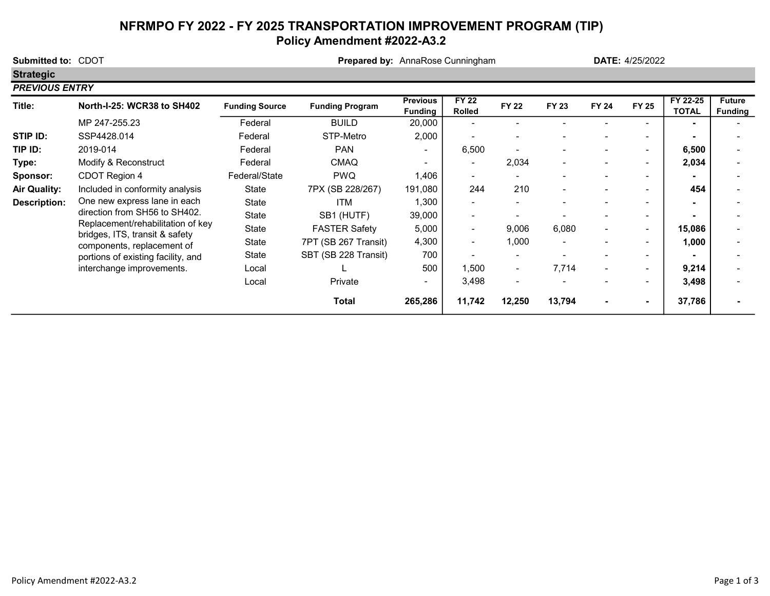# NFRMPO FY 2022 - FY 2025 TRANSPORTATION IMPROVEMENT PROGRAM (TIP) Policy Amendment #2022-A3.2

| Submitted to: CDOT    |                                                                                                                                                                    |                       | Prepared by: AnnaRose Cunningham |                                   |                               |                          |                | <b>DATE: 4/25/2022</b> |                          |                          |                                 |
|-----------------------|--------------------------------------------------------------------------------------------------------------------------------------------------------------------|-----------------------|----------------------------------|-----------------------------------|-------------------------------|--------------------------|----------------|------------------------|--------------------------|--------------------------|---------------------------------|
| <b>Strategic</b>      |                                                                                                                                                                    |                       |                                  |                                   |                               |                          |                |                        |                          |                          |                                 |
| <b>PREVIOUS ENTRY</b> |                                                                                                                                                                    |                       |                                  |                                   |                               |                          |                |                        |                          |                          |                                 |
| Title:                | <b>North-I-25: WCR38 to SH402</b>                                                                                                                                  | <b>Funding Source</b> | <b>Funding Program</b>           | <b>Previous</b><br><b>Funding</b> | <b>FY 22</b><br><b>Rolled</b> | <b>FY 22</b>             | FY 23          | <b>FY 24</b>           | <b>FY 25</b>             | FY 22-25<br><b>TOTAL</b> | <b>Future</b><br><b>Funding</b> |
|                       | MP 247-255.23                                                                                                                                                      | Federal               | <b>BUILD</b>                     | 20,000                            |                               |                          |                |                        |                          | $\blacksquare$           |                                 |
| STIP ID:              | SSP4428.014                                                                                                                                                        | Federal               | STP-Metro                        | 2,000                             |                               |                          |                |                        |                          |                          |                                 |
| TIP ID:               | 2019-014                                                                                                                                                           | Federal               | <b>PAN</b>                       | $\blacksquare$                    | 6,500                         |                          |                |                        | ۰                        | 6,500                    |                                 |
| Type:                 | Modify & Reconstruct                                                                                                                                               | Federal               | <b>CMAQ</b>                      | ۰.                                | $\overline{\phantom{a}}$      | 2,034                    | $\blacksquare$ |                        |                          | 2,034                    |                                 |
| Sponsor:              | CDOT Region 4                                                                                                                                                      | Federal/State         | <b>PWQ</b>                       | ,406                              | ۰.                            |                          |                |                        |                          |                          |                                 |
| <b>Air Quality:</b>   | Included in conformity analysis                                                                                                                                    | State                 | 7PX (SB 228/267)                 | 191,080                           | 244                           | 210                      | $\blacksquare$ |                        |                          | 454                      |                                 |
| <b>Description:</b>   | One new express lane in each<br>direction from SH56 to SH402.<br>Replacement/rehabilitation of key<br>bridges, ITS, transit & safety<br>components, replacement of | State                 | ITM                              | 1,300                             | $\sim$                        |                          |                |                        |                          | $\blacksquare$           |                                 |
|                       |                                                                                                                                                                    | State                 | SB1 (HUTF)                       | 39,000                            | $\overline{\phantom{a}}$      |                          |                |                        |                          |                          |                                 |
|                       |                                                                                                                                                                    | State                 | <b>FASTER Safety</b>             | 5,000                             | $\blacksquare$                | 9,006                    | 6,080          |                        |                          | 15,086                   |                                 |
|                       |                                                                                                                                                                    | State                 | 7PT (SB 267 Transit)             | 4,300                             | $\blacksquare$                | 1,000                    | -              |                        |                          | 1,000                    |                                 |
|                       | portions of existing facility, and                                                                                                                                 | State                 | SBT (SB 228 Transit)             | 700                               |                               |                          |                |                        | -                        |                          |                                 |
|                       | interchange improvements.                                                                                                                                          | Local                 |                                  | 500                               | 1,500                         | $\overline{\phantom{a}}$ | 7,714          |                        | $\overline{\phantom{0}}$ | 9,214                    |                                 |
|                       |                                                                                                                                                                    | Local                 | Private                          |                                   | 3,498                         | $\overline{\phantom{0}}$ |                |                        |                          | 3,498                    |                                 |
|                       |                                                                                                                                                                    |                       | Total                            | 265,286                           | 11,742                        | 12,250                   | 13,794         | $\blacksquare$         |                          | 37,786                   |                                 |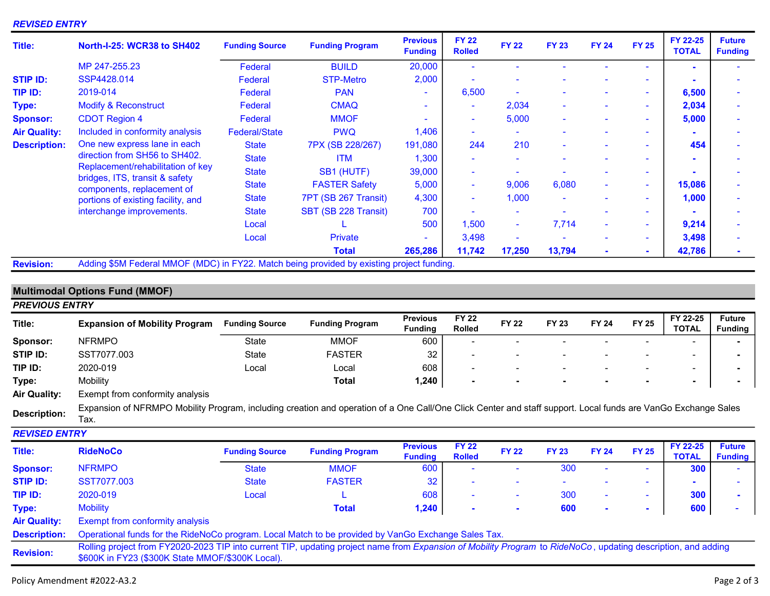#### REVISED ENTRY

| Title:              | <b>North-I-25: WCR38 to SH402</b>                                                                                                                                                                                                     | <b>Funding Source</b> | <b>Funding Program</b> | <b>Previous</b><br><b>Funding</b> | <b>FY 22</b><br><b>Rolled</b> | <b>FY 22</b> | <b>FY 23</b>             | <b>FY 24</b> | <b>FY 25</b> | FY 22-25<br><b>TOTAL</b> | <b>Future</b><br><b>Funding</b> |
|---------------------|---------------------------------------------------------------------------------------------------------------------------------------------------------------------------------------------------------------------------------------|-----------------------|------------------------|-----------------------------------|-------------------------------|--------------|--------------------------|--------------|--------------|--------------------------|---------------------------------|
|                     | MP 247-255.23                                                                                                                                                                                                                         | Federal               | <b>BUILD</b>           | 20,000                            |                               |              |                          |              |              |                          |                                 |
| <b>STIP ID:</b>     | SSP4428.014                                                                                                                                                                                                                           | Federal               | <b>STP-Metro</b>       | 2,000                             |                               |              |                          |              | ۰            |                          |                                 |
| TIP ID:             | 2019-014                                                                                                                                                                                                                              | Federal               | <b>PAN</b>             | $\blacksquare$                    | 6,500                         |              |                          |              | ۰.           | 6,500                    |                                 |
| Type:               | <b>Modify &amp; Reconstruct</b>                                                                                                                                                                                                       | Federal               | <b>CMAQ</b>            | ۰                                 | ٠                             | 2,034        |                          |              | ٠            | 2,034                    |                                 |
| <b>Sponsor:</b>     | <b>CDOT Region 4</b>                                                                                                                                                                                                                  | Federal               | <b>MMOF</b>            |                                   | $\sim$                        | 5,000        |                          |              | ۰            | 5,000                    |                                 |
| <b>Air Quality:</b> | Included in conformity analysis                                                                                                                                                                                                       | <b>Federal/State</b>  | <b>PWQ</b>             | 1,406                             | $\sim$                        |              |                          |              | ۰            |                          |                                 |
| <b>Description:</b> | One new express lane in each<br>direction from SH56 to SH402.<br>Replacement/rehabilitation of key<br>bridges, ITS, transit & safety<br>components, replacement of<br>portions of existing facility, and<br>interchange improvements. | <b>State</b>          | 7PX (SB 228/267)       | 191,080                           | 244                           | 210          | $\sim$                   | ۰            | ۰            | 454                      |                                 |
|                     |                                                                                                                                                                                                                                       | <b>State</b>          | <b>ITM</b>             | 1,300                             | $\sim$                        |              |                          |              | -            |                          |                                 |
|                     |                                                                                                                                                                                                                                       | <b>State</b>          | SB1 (HUTF)             | 39,000                            | $\sim$                        |              |                          |              | ۰            |                          |                                 |
|                     |                                                                                                                                                                                                                                       | <b>State</b>          | <b>FASTER Safety</b>   | 5,000                             | $\sim$                        | 9,006        | 6,080                    | ٠            | $\sim$       | 15,086                   |                                 |
|                     |                                                                                                                                                                                                                                       | <b>State</b>          | 7PT (SB 267 Transit)   | 4,300                             | $\sim$                        | 1,000        | $\overline{\phantom{a}}$ | ۰            | $\sim$       | 1,000                    |                                 |
|                     |                                                                                                                                                                                                                                       | <b>State</b>          | SBT (SB 228 Transit)   | 700                               | ٠                             |              |                          |              | ٠            |                          |                                 |
|                     |                                                                                                                                                                                                                                       | Local                 |                        | 500                               | 1,500                         |              | 7,714                    |              | ٠            | 9,214                    |                                 |
|                     |                                                                                                                                                                                                                                       | Local                 | <b>Private</b>         | ۰                                 | 3,498                         |              |                          |              | ٠            | 3,498                    |                                 |
|                     |                                                                                                                                                                                                                                       |                       | <b>Total</b>           | 265,286                           | 11,742                        | 17,250       | 13,794                   |              | $\sim$       | 42,786                   |                                 |
| <b>Daviejon</b>     | Adding \$5M Eederal MMOE (MDC) in EV22, Match being provided by existing project funding                                                                                                                                              |                       |                        |                                   |                               |              |                          |              |              |                          |                                 |

Revision: Adding \$5M Federal MMOF (MDC) in FY22. Match being provided by existing project funding.

## Multimodal Options Fund (MMOF)

| <b>PREVIOUS ENTRY</b> |                                                                                                                                                                                                                   |                       |                        |                                   |                               |              |              |              |              |                          |                                 |
|-----------------------|-------------------------------------------------------------------------------------------------------------------------------------------------------------------------------------------------------------------|-----------------------|------------------------|-----------------------------------|-------------------------------|--------------|--------------|--------------|--------------|--------------------------|---------------------------------|
| Title:                | <b>Expansion of Mobility Program</b>                                                                                                                                                                              | <b>Funding Source</b> | <b>Funding Program</b> | <b>Previous</b><br><b>Funding</b> | <b>FY 22</b><br>Rolled        | <b>FY 22</b> | <b>FY 23</b> | <b>FY 24</b> | <b>FY 25</b> | FY 22-25<br><b>TOTAL</b> | <b>Future</b><br><b>Funding</b> |
| Sponsor:              | <b>NFRMPO</b>                                                                                                                                                                                                     | State                 | <b>MMOF</b>            | 600                               |                               |              |              |              |              |                          |                                 |
| STIP ID:              | SST7077.003                                                                                                                                                                                                       | State                 | <b>FASTER</b>          | 32                                |                               |              |              |              |              |                          |                                 |
| TIP ID:               | 2020-019                                                                                                                                                                                                          | Local                 | Local                  | 608                               |                               |              |              |              |              |                          |                                 |
| Type:                 | Mobility                                                                                                                                                                                                          |                       | <b>Total</b>           | 1,240                             | ٠                             |              |              |              |              | $\blacksquare$           |                                 |
| <b>Air Quality:</b>   | Exempt from conformity analysis                                                                                                                                                                                   |                       |                        |                                   |                               |              |              |              |              |                          |                                 |
| <b>Description:</b>   | Expansion of NFRMPO Mobility Program, including creation and operation of a One Call/One Click Center and staff support. Local funds are VanGo Exchange Sales<br>Tax.                                             |                       |                        |                                   |                               |              |              |              |              |                          |                                 |
| <b>REVISED ENTRY</b>  |                                                                                                                                                                                                                   |                       |                        |                                   |                               |              |              |              |              |                          |                                 |
| Title:                | <b>RideNoCo</b>                                                                                                                                                                                                   | <b>Funding Source</b> | <b>Funding Program</b> | <b>Previous</b><br><b>Funding</b> | <b>FY 22</b><br><b>Rolled</b> | <b>FY 22</b> | <b>FY 23</b> | <b>FY 24</b> | <b>FY 25</b> | FY 22-25<br><b>TOTAL</b> | <b>Future</b><br><b>Funding</b> |
| <b>Sponsor:</b>       | <b>NFRMPO</b>                                                                                                                                                                                                     | <b>State</b>          | <b>MMOF</b>            | 600                               |                               |              | 300          |              |              | 300                      |                                 |
| <b>STIP ID:</b>       | SST7077.003                                                                                                                                                                                                       | <b>State</b>          | <b>FASTER</b>          | 32                                |                               |              |              |              |              |                          |                                 |
| TIP ID:               | 2020-019                                                                                                                                                                                                          | Local                 |                        | 608                               | ۰                             | ۰            | 300          |              | ٠            | 300                      |                                 |
| Type:                 | <b>Mobility</b>                                                                                                                                                                                                   |                       | <b>Total</b>           | 1,240                             | $\blacksquare$                |              | 600          |              | ۰            | 600                      |                                 |
| <b>Air Quality:</b>   | <b>Exempt from conformity analysis</b>                                                                                                                                                                            |                       |                        |                                   |                               |              |              |              |              |                          |                                 |
| <b>Description:</b>   | Operational funds for the RideNoCo program. Local Match to be provided by VanGo Exchange Sales Tax.                                                                                                               |                       |                        |                                   |                               |              |              |              |              |                          |                                 |
| <b>Revision:</b>      | Rolling project from FY2020-2023 TIP into current TIP, updating project name from Expansion of Mobility Program to RideNoCo, updating description, and adding<br>\$600K in FY23 (\$300K State MMOF/\$300K Local). |                       |                        |                                   |                               |              |              |              |              |                          |                                 |